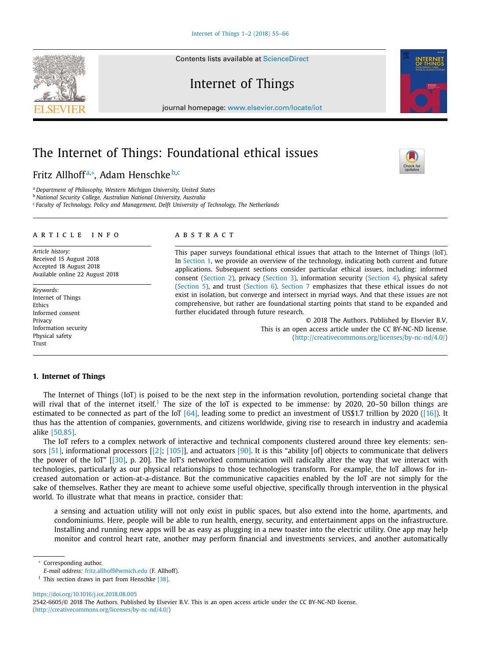Contents lists available at [ScienceDirect](http://www.ScienceDirect.com)

# Internet of Things

journal homepage: [www.elsevier.com/locate/iot](http://www.elsevier.com/locate/iot)

## The Internet of Things: Foundational ethical issues

### Fritz Allhoff<sup>a,∗</sup>, Adam Henschke<sup>b,c</sup>

<sup>a</sup> *Department of Philosophy, Western Michigan University, United States*

<sup>b</sup> *National Security College, Australian National University, Australia*

<sup>c</sup> *Faculty of Technology, Policy and Management, Delft University of Technology, The Netherlands*

#### a r t i c l e i n f o

*Article history:* Received 15 August 2018 Accepted 18 August 2018 Available online 22 August 2018

*Keywords:* Internet of Things Ethics Informed consent Privacy Information security Physical safety Trust

#### a b s t r a c t

This paper surveys foundational ethical issues that attach to the Internet of Things (IoT). In Section 1, we provide an overview of the technology, indicating both current and future applications. Subsequent sections consider particular ethical issues, including: informed consent [\(Section](#page-2-0) 2), privacy [\(Section](#page-3-0) 3), information security [\(Section](#page-4-0) 4), physical safety [\(Section](#page-6-0) 5), and trust [\(Section](#page-7-0) 6). [Section](#page-8-0) 7 emphasizes that these ethical issues do not exist in isolation, but converge and intersect in myriad ways. And that these issues are not comprehensive, but rather are foundational starting points that stand to be expanded and further elucidated through future research.

> © 2018 The Authors. Published by Elsevier B.V. This is an open access article under the CC BY-NC-ND license. [\(http://creativecommons.org/licenses/by-nc-nd/4.0/\)](http://creativecommons.org/licenses/by-nc-nd/4.0/)

### **1. Internet of Things**

The Internet of Things (IoT) is poised to be the next step in the information revolution, portending societal change that will rival that of the internet itself.<sup>1</sup> The size of the IoT is expected to be immense: by 2020, 20-50 billon things are estimated to be connected as part of the IoT  $[64]$ , leading some to predict an investment of US\$1.7 trillion by 2020 [\(\[16\]\)](#page-9-0). It thus has the attention of companies, governments, and citizens worldwide, giving rise to research in industry and academia alike [\[50,85\].](#page-10-0)

The IoT refers to a complex network of interactive and technical components clustered around three key elements: sen-sors [\[51\],](#page-10-0) informational processors  $[2]$ ; [\[105\]\]](#page-11-0), and actuators [\[90\].](#page-10-0) It is this "ability [of] objects to communicate that delivers the power of the IoT" [\[\[30\],](#page-9-0) p. 20]. The IoT's networked communication will radically alter the way that we interact with technologies, particularly as our physical relationships to those technologies transform. For example, the IoT allows for increased automation or action-at-a-distance. But the communicative capacities enabled by the IoT are not simply for the sake of themselves. Rather they are meant to achieve some useful objective, specifically through intervention in the physical world. To illustrate what that means in practice, consider that:

a sensing and actuation utility will not only exist in public spaces, but also extend into the home, apartments, and condominiums. Here, people will be able to run health, energy, security, and entertainment apps on the infrastructure. Installing and running new apps will be as easy as plugging in a new toaster into the electric utility. One app may help monitor and control heart rate, another may perform financial and investments services, and another automatically

<sup>∗</sup> Corresponding author.

<https://doi.org/10.1016/j.iot.2018.08.005>

<span id="page-0-0"></span>





*E-mail address:* [fritz.allhoff@wmich.edu](mailto:fritz.allhoff@wmich.edu) (F. Allhoff).

<sup>&</sup>lt;sup>1</sup> This section draws in part from Henschke  $[38]$ .

<sup>2542-6605/© 2018</sup> The Authors. Published by Elsevier B.V. This is an open access article under the CC BY-NC-ND license. [\(http://creativecommons.org/licenses/by-nc-nd/4.0/\)](http://creativecommons.org/licenses/by-nc-nd/4.0/)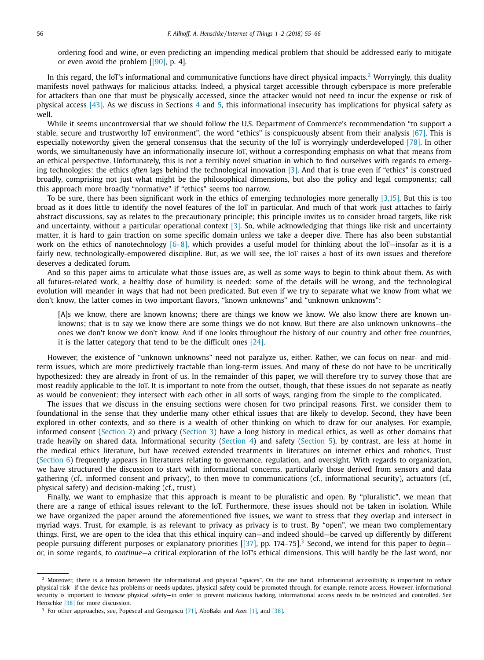ordering food and wine, or even predicting an impending medical problem that should be addressed early to mitigate or even avoid the problem  $[90]$ , p. 4].

In this regard, the IoT's informational and communicative functions have direct physical impacts.<sup>2</sup> Worryingly, this duality manifests novel pathways for malicious attacks. Indeed, a physical target accessible through cyberspace is more preferable for attackers than one that must be physically accessed, since the attacker would not need to incur the expense or risk of physical access [\[43\].](#page-10-0) As we discuss in Sections [4](#page-4-0) and [5,](#page-6-0) this informational insecurity has implications for physical safety as well.

While it seems uncontroversial that we should follow the U.S. Department of Commerce's recommendation "to support a stable, secure and trustworthy IoT environment", the word "ethics" is conspicuously absent from their analysis [\[67\].](#page-10-0) This is especially noteworthy given the general consensus that the security of the IoT is worryingly underdeveloped [\[78\].](#page-10-0) In other words, we simultaneously have an informationally insecure IoT, without a corresponding emphasis on what that means from an ethical perspective. Unfortunately, this is not a terribly novel situation in which to find ourselves with regards to emerging technologies: the ethics *often* lags behind the technological innovation [\[3\].](#page-9-0) And that is true even if "ethics" is construed broadly, comprising not just what might be the philosophical dimensions, but also the policy and legal components; call this approach more broadly "normative" if "ethics" seems too narrow.

To be sure, there has been significant work in the ethics of emerging technologies more generally [\[3,15\].](#page-9-0) But this is too broad as it does little to identify the novel features of the IoT in particular. And much of that work just attaches to fairly abstract discussions, say as relates to the precautionary principle; this principle invites us to consider broad targets, like risk and uncertainty, without a particular operational context  $[3]$ . So, while acknowledging that things like risk and uncertainty matter, it is hard to gain traction on some specific domain unless we take a deeper dive. There has also been substantial work on the ethics of nanotechnology  $[6-8]$ , which provides a useful model for thinking about the IoT-insofar as it is a fairly new, technologically-empowered discipline. But, as we will see, the IoT raises a host of its own issues and therefore deserves a dedicated forum.

And so this paper aims to articulate what those issues are, as well as some ways to begin to think about them. As with all futures-related work, a healthy dose of humility is needed: some of the details will be wrong, and the technological evolution will meander in ways that had not been predicated. But even if we try to separate what we know from what we don't know, the latter comes in two important flavors, "known unknowns" and "unknown unknowns":

[A]s we know, there are known knowns; there are things we know we know. We also know there are known unknowns; that is to say we know there are some things we do not know. But there are also unknown unknowns—the ones we don't know we don't know. And if one looks throughout the history of our country and other free countries, it is the latter category that tend to be the difficult ones [\[24\].](#page-9-0)

However, the existence of "unknown unknowns" need not paralyze us, either. Rather, we can focus on near- and midterm issues, which are more predictively tractable than long-term issues. And many of these do not have to be uncritically hypothesized: they are already in front of us. In the remainder of this paper, we will therefore try to survey those that are most readily applicable to the IoT. It is important to note from the outset, though, that these issues do not separate as neatly as would be convenient: they intersect with each other in all sorts of ways, ranging from the simple to the complicated.

The issues that we discuss in the ensuing sections were chosen for two principal reasons. First, we consider them to foundational in the sense that they underlie many other ethical issues that are likely to develop. Second, they have been explored in other contexts, and so there is a wealth of other thinking on which to draw for our analyses. For example, informed consent [\(Section](#page-2-0) 2) and privacy [\(Section](#page-3-0) 3) have a long history in medical ethics, as well as other domains that trade heavily on shared data. Informational security [\(Section](#page-4-0) 4) and safety [\(Section](#page-6-0) 5), by contrast, are less at home in the medical ethics literature, but have received extended treatments in literatures on internet ethics and robotics. Trust [\(Section](#page-7-0) 6) frequently appears in literatures relating to governance, regulation, and oversight. With regards to organization, we have structured the discussion to start with informational concerns, particularly those derived from sensors and data gathering (cf., informed consent and privacy), to then move to communications (cf., informational security), actuators (cf., physical safety) and decision-making (cf., trust).

Finally, we want to emphasize that this approach is meant to be pluralistic and open. By "pluralistic", we mean that there are a range of ethical issues relevant to the IoT. Furthermore, these issues should not be taken in isolation. While we have organized the paper around the aforementioned five issues, we want to stress that they overlap and intersect in myriad ways. Trust, for example, is as relevant to privacy as privacy is to trust. By "open", we mean two complementary things. First, we are open to the idea that this ethical inquiry can—and indeed should—be carved up differently by different people pursuing different purposes or explanatory priorities [\[\[37\],](#page-9-0) pp. 174–75].<sup>3</sup> Second, we intend for this paper to *begin* or, in some regards, to *continue*—a critical exploration of the IoT's ethical dimensions. This will hardly be the last word, nor

<sup>2</sup> Moreover, there is a tension between the informational and physical "spaces". On the one hand, informational accessibility is important to *reduce* physical risk—if the device has problems or needs updates, physical safety could be promoted through, for example, remote access. However, informational security is important to *increase* physical safety—in order to prevent malicious hacking, informational access needs to be restricted and controlled. See Henschke [\[38\]](#page-10-0) for more discussion.

<sup>&</sup>lt;sup>3</sup> For other approaches, see, Popescul and Georgescu [\[71\],](#page-10-0) AboBakr and Azer [\[1\],](#page-9-0) and [\[38\].](#page-10-0)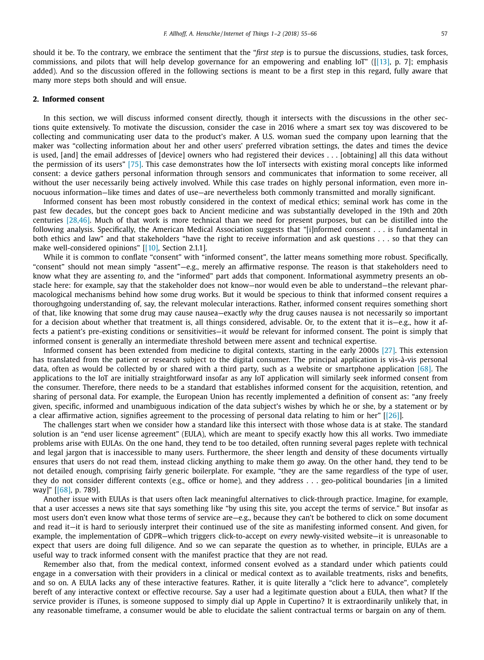<span id="page-2-0"></span>should it be. To the contrary, we embrace the sentiment that the "*first step* is to pursue the discussions, studies, task forces, commissions, and pilots that will help develop governance for an empowering and enabling IoT" ([\[\[13\],](#page-9-0) p. 7]; emphasis added). And so the discussion offered in the following sections is meant to be a first step in this regard, fully aware that many more steps both should and will ensue.

#### **2. Informed consent**

In this section, we will discuss informed consent directly, though it intersects with the discussions in the other sections quite extensively. To motivate the discussion, consider the case in 2016 where a smart sex toy was discovered to be collecting and communicating user data to the product's maker. A U.S. woman sued the company upon learning that the maker was "collecting information about her and other users' preferred vibration settings, the dates and times the device is used, [and] the email addresses of [device] owners who had registered their devices . . . [obtaining] all this data without the permission of its users" [\[75\].](#page-10-0) This case demonstrates how the IoT intersects with existing moral concepts like informed consent: a device gathers personal information through sensors and communicates that information to some receiver, all without the user necessarily being actively involved. While this case trades on highly personal information, even more innocuous information—like times and dates of use—are nevertheless both commonly transmitted and morally significant.

Informed consent has been most robustly considered in the context of medical ethics; seminal work has come in the past few decades, but the concept goes back to Ancient medicine and was substantially developed in the 19th and 20th centuries [\[28,46\].](#page-9-0) Much of that work is more technical than we need for present purposes, but can be distilled into the following analysis. Specifically, the American Medical Association suggests that "[i]nformed consent . . . is fundamental in both ethics and law" and that stakeholders "have the right to receive information and ask questions . . . so that they can make well-considered opinions" [\[\[10\],](#page-9-0) Section 2.1.1].

While it is common to conflate "consent" with "informed consent", the latter means something more robust. Specifically, "consent" should not mean simply "assent"—e.g., merely an affirmative response. The reason is that stakeholders need to know what they are assenting *to*, and the "informed" part adds that component. Informational asymmetry presents an obstacle here: for example, say that the stakeholder does not know—nor would even be able to understand—the relevant pharmacological mechanisms behind how some drug works. But it would be specious to think that informed consent requires a thoroughgoing understanding of, say, the relevant molecular interactions. Rather, informed consent requires something short of that, like knowing that some drug may cause nausea—exactly *why* the drug causes nausea is not necessarily so important for a decision about whether that treatment is, all things considered, advisable. Or, to the extent that it is—e.g., how it affects a patient's pre-existing conditions or sensitivities—it *would* be relevant for informed consent. The point is simply that informed consent is generally an intermediate threshold between mere assent and technical expertise.

Informed consent has been extended from medicine to digital contexts, starting in the early 2000s [\[27\].](#page-9-0) This extension has translated from the patient or research subject to the digital consumer. The principal application is vis-à-vis personal data, often as would be collected by or shared with a third party, such as a website or smartphone application [\[68\].](#page-10-0) The applications to the IoT are initially straightforward insofar as any IoT application will similarly seek informed consent from the consumer. Therefore, there needs to be a standard that establishes informed consent for the acquisition, retention, and sharing of personal data. For example, the European Union has recently implemented a definition of consent as: "any freely given, specific, informed and unambiguous indication of the data subject's wishes by which he or she, by a statement or by a clear affirmative action, signifies agreement to the processing of personal data relating to him or her" [\[\[26\]\]](#page-9-0).

The challenges start when we consider how a standard like this intersect with those whose data is at stake. The standard solution is an "end user license agreement" (EULA), which are meant to specify exactly how this all works. Two immediate problems arise with EULAs. On the one hand, they tend to be too detailed, often running several pages replete with technical and legal jargon that is inaccessible to many users. Furthermore, the sheer length and density of these documents virtually ensures that users do not read them, instead clicking anything to make them go away. On the other hand, they tend to be not detailed enough, comprising fairly generic boilerplate. For example, "they are the same regardless of the type of user, they do not consider different contexts (e.g., office or home), and they address . . . geo-political boundaries [in a limited way]" [\[\[68\],](#page-10-0) p. 789].

Another issue with EULAs is that users often lack meaningful alternatives to click-through practice. Imagine, for example, that a user accesses a news site that says something like "by using this site, you accept the terms of service." But insofar as most users don't even know what those terms of service are—e.g., because they can't be bothered to click on some document and read it—it is hard to seriously interpret their continued use of the site as manifesting informed consent. And given, for example, the implementation of GDPR—which triggers click-to-accept on *every* newly-visited website—it is unreasonable to expect that users are doing full diligence. And so we can separate the question as to whether, in principle, EULAs are a useful way to track informed consent with the manifest practice that they are not read.

Remember also that, from the medical context, informed consent evolved as a standard under which patients could engage in a conversation with their providers in a clinical or medical context as to available treatments, risks and benefits, and so on. A EULA lacks any of these interactive features. Rather, it is quite literally a "click here to advance", completely bereft of any interactive context or effective recourse. Say a user had a legitimate question about a EULA, then what? If the service provider is iTunes, is someone supposed to simply dial up Apple in Cupertino? It is extraordinarily unlikely that, in any reasonable timeframe, a consumer would be able to elucidate the salient contractual terms or bargain on any of them.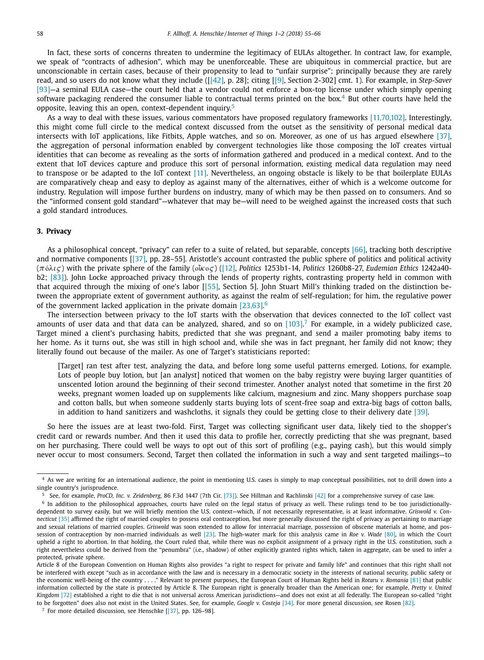<span id="page-3-0"></span>In fact, these sorts of concerns threaten to undermine the legitimacy of EULAs altogether. In contract law, for example, we speak of "contracts of adhesion", which may be unenforceable. These are ubiquitous in commercial practice, but are unconscionable in certain cases, because of their propensity to lead to "unfair surprise"; principally because they are rarely read, and so users do not know what they include ([\[\[42\],](#page-10-0) p. 28]; citing [\[\[9\],](#page-9-0) Section 2-302] cmt. 1). For example, in *Step-Saver* [\[93\]—](#page-10-0)a seminal EULA case—the court held that a vendor could not enforce a box-top license under which simply opening software packaging rendered the consumer liable to contractual terms printed on the box.<sup>4</sup> But other courts have held the opposite, leaving this an open, context-dependent inquiry.<sup>5</sup>

As a way to deal with these issues, various commentators have proposed regulatory frameworks [\[11,70,102\].](#page-9-0) Interestingly, this might come full circle to the medical context discussed from the outset as the sensitivity of personal medical data intersects with IoT applications, like Fitbits, Apple watches, and so on. Moreover, as one of us has argued elsewhere [\[37\],](#page-9-0) the aggregation of personal information enabled by convergent technologies like those composing the IoT creates virtual identities that can become as revealing as the sorts of information gathered and produced in a medical context. And to the extent that IoT devices capture and produce this sort of personal information, existing medical data regulation may need to transpose or be adapted to the IoT context [\[11\].](#page-9-0) Nevertheless, an ongoing obstacle is likely to be that boilerplate EULAs are comparatively cheap and easy to deploy as against many of the alternatives, either of which is a welcome outcome for industry. Regulation will impose further burdens on industry, many of which may be then passed on to consumers. And so the "informed consent gold standard"—whatever that may be—will need to be weighed against the increased costs that such a gold standard introduces.

#### **3. Privacy**

As a philosophical concept, "privacy" can refer to a suite of related, but separable, concepts [\[66\],](#page-10-0) tracking both descriptive and normative components [\[\[37\],](#page-9-0) pp. 28–55]. Aristotle's account contrasted the public sphere of politics and political activity (πόλις) with the private sphere of the family (οἶκος) [\(\[12\],](#page-9-0) *Politics* 1253b1-14, *Politics* 1260b8-27, *Eudemian Ethics* 1242a40- b2; [\[83\]\)](#page-10-0). John Locke approached privacy through the lends of property rights, contrasting property held in common with that acquired through the mixing of one's labor [\[\[55\],](#page-10-0) Section 5]. John Stuart Mill's thinking traded on the distinction between the appropriate extent of government authority, as against the realm of self-regulation; for him, the regulative power of the government lacked application in the private domain  $[23,63]$ .<sup>6</sup>

The intersection between privacy to the IoT starts with the observation that devices connected to the IoT collect vast amounts of user data and that data can be analyzed, shared, and so on  $[103]$ . For example, in a widely publicized case, Target mined a client's purchasing habits, predicted that she was pregnant, and send a mailer promoting baby items to her home. As it turns out, she was still in high school and, while she was in fact pregnant, her family did not know; they literally found out because of the mailer. As one of Target's statisticians reported:

[Target] ran test after test, analyzing the data, and before long some useful patterns emerged. Lotions, for example. Lots of people buy lotion, but [an analyst] noticed that women on the baby registry were buying larger quantities of unscented lotion around the beginning of their second trimester. Another analyst noted that sometime in the first 20 weeks, pregnant women loaded up on supplements like calcium, magnesium and zinc. Many shoppers purchase soap and cotton balls, but when someone suddenly starts buying lots of scent-free soap and extra-big bags of cotton balls, in addition to hand sanitizers and washcloths, it signals they could be getting close to their delivery date [\[39\].](#page-10-0)

So here the issues are at least two-fold. First, Target was collecting significant user data, likely tied to the shopper's credit card or rewards number. And then it used this data to profile her, correctly predicting that she was pregnant, based on her purchasing. There could well be ways to opt out of this sort of profiling (e.g., paying cash), but this would simply never occur to most consumers. Second, Target then collated the information in such a way and sent targeted mailings—to

<sup>4</sup> As we are writing for an international audience, the point in mentioning U.S. cases is simply to map conceptual possibilities, not to drill down into a single country's jurisprudence.

<sup>5</sup> See, for example, *ProCD, Inc. v. Zeidenberg*, 86 F.3d 1447 (7th Cir. [\[73\]\)](#page-10-0). See Hillman and Rachlinski [\[42\]](#page-10-0) for a comprehensive survey of case law.

<sup>&</sup>lt;sup>6</sup> In addition to the philosophical approaches, courts have ruled on the legal status of privacy as well. These rulings tend to be too jurisdictionallydependent to survey easily, but we will briefly mention the U.S. context—which, if not necessarily representative, is at least informative. *Griswold v. Connecticut* [\[35\]](#page-9-0) affirmed the right of married couples to possess oral contraception, but more generally discussed the right of privacy as pertaining to marriage and sexual relations of married couples. *Griswold* was soon extended to allow for interracial marriage, possession of obscene materials at home, and possession of contraception by non-married individuals as well [\[23\].](#page-9-0) The high-water mark for this analysis came in *Roe v. Wade* [\[80\],](#page-10-0) in which the Court upheld a right to abortion. In that holding, the Court ruled that, while there was no explicit assignment of a privacy right in the U.S. constitution, such a right nevertheless could be derived from the "penumbra" (i.e., shadow) of other explicitly granted rights which, taken in aggregate, can be used to infer a protected, private sphere.

Article 8 of the European Convention on Human Rights also provides "a right to respect for private and family life" and continues that this right shall not be interfered with except "such as in accordance with the law and is necessary in a democratic society in the interests of national security, public safety or the economic well-being of the country . . . ." Relevant to present purposes, the European Court of Human Rights held in *Rotaru v. Romania* [\[81\]](#page-10-0) that public information collected by the state is protected by Article 8. The European right is generally broader than the American one; for example, *Pretty v. United Kingdom* [\[72\]](#page-10-0) established a right to die that is not universal across American jurisdictions—and does not exist at all federally. The European so-called "right to be forgotten" does also not exist in the United States. See, for example, *Google v. Costeja* [\[34\].](#page-9-0) For more general discussion, see Rosen [\[82\].](#page-10-0)

For more detailed discussion, see Henschke [\[\[37\],](#page-9-0) pp. 126-98].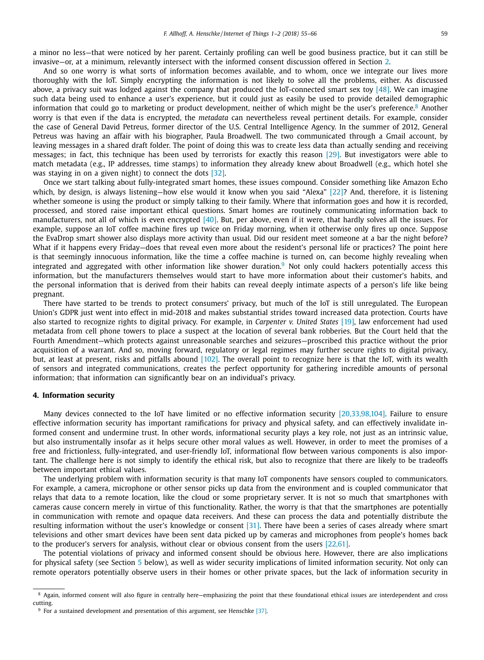<span id="page-4-0"></span>a minor no less—that were noticed by her parent. Certainly profiling can well be good business practice, but it can still be invasive—or, at a minimum, relevantly intersect with the informed consent discussion offered in Section [2.](#page-2-0)

And so one worry is what sorts of information becomes available, and to whom, once we integrate our lives more thoroughly with the IoT. Simply encrypting the information is not likely to solve all the problems, either. As discussed above, a privacy suit was lodged against the company that produced the IoT-connected smart sex toy  $[48]$ . We can imagine such data being used to enhance a user's experience, but it could just as easily be used to provide detailed demographic information that could go to marketing or product development, neither of which might be the user's preference.<sup>8</sup> Another worry is that even if the data is encrypted, the *metadata* can nevertheless reveal pertinent details. For example, consider the case of General David Petreus, former director of the U.S. Central Intelligence Agency. In the summer of 2012, General Petreus was having an affair with his biographer, Paula Broadwell. The two communicated through a Gmail account, by leaving messages in a shared draft folder. The point of doing this was to create less data than actually sending and receiving messages; in fact, this technique has been used by terrorists for exactly this reason [\[29\].](#page-9-0) But investigators were able to match metadata (e.g., IP addresses, time stamps) to information they already knew about Broadwell (e.g., which hotel she was staying in on a given night) to connect the dots [\[32\].](#page-9-0)

Once we start talking about fully-integrated smart homes, these issues compound. Consider something like Amazon Echo which, by design, is always listening—how else would it know when you said "Alexa" [\[22\]?](#page-9-0) And, therefore, it is listening whether someone is using the product or simply talking to their family. Where that information goes and how it is recorded, processed, and stored raise important ethical questions. Smart homes are routinely communicating information back to manufacturers, not all of which is even encrypted [\[40\].](#page-10-0) But, per above, even if it were, that hardly solves all the issues. For example, suppose an IoT coffee machine fires up twice on Friday morning, when it otherwise only fires up once. Suppose the EvaDrop smart shower also displays more activity than usual. Did our resident meet someone at a bar the night before? What if it happens every Friday—does that reveal even more about the resident's personal life or practices? The point here is that seemingly innocuous information, like the time a coffee machine is turned on, can become highly revealing when integrated and aggregated with other information like shower duration.<sup>9</sup> Not only could hackers potentially access this information, but the manufacturers themselves would start to have more information about their customer's habits, and the personal information that is derived from their habits can reveal deeply intimate aspects of a person's life like being pregnant.

There have started to be trends to protect consumers' privacy, but much of the IoT is still unregulated. The European Union's GDPR just went into effect in mid-2018 and makes substantial strides toward increased data protection. Courts have also started to recognize rights to digital privacy. For example, in *Carpenter v. United States* [\[19\],](#page-9-0) law enforcement had used metadata from cell phone towers to place a suspect at the location of several bank robberies. But the Court held that the Fourth Amendment—which protects against unreasonable searches and seizures—proscribed this practice without the prior acquisition of a warrant. And so, moving forward, regulatory or legal regimes may further secure rights to digital privacy, but, at least at present, risks and pitfalls abound [\[102\].](#page-11-0) The overall point to recognize here is that the IoT, with its wealth of sensors and integrated communications, creates the perfect opportunity for gathering incredible amounts of personal information; that information can significantly bear on an individual's privacy.

#### **4. Information security**

Many devices connected to the IoT have limited or no effective information security [\[20,33,98,104\].](#page-9-0) Failure to ensure effective information security has important ramifications for privacy and physical safety, and can effectively invalidate informed consent and undermine trust. In other words, informational security plays a key role, not just as an intrinsic value, but also instrumentally insofar as it helps secure other moral values as well. However, in order to meet the promises of a free and frictionless, fully-integrated, and user-friendly IoT, informational flow between various components is also important. The challenge here is not simply to identify the ethical risk, but also to recognize that there are likely to be tradeoffs between important ethical values.

The underlying problem with information security is that many IoT components have sensors coupled to communicators. For example, a camera, microphone or other sensor picks up data from the environment and is coupled communicator that relays that data to a remote location, like the cloud or some proprietary server. It is not so much that smartphones with cameras cause concern merely in virtue of this functionality. Rather, the worry is that that the smartphones are potentially in communication with remote and opaque data receivers. And these can process the data and potentially distribute the resulting information without the user's knowledge or consent [\[31\].](#page-9-0) There have been a series of cases already where smart televisions and other smart devices have been sent data picked up by cameras and microphones from people's homes back to the producer's servers for analysis, without clear or obvious consent from the users [\[22,61\].](#page-9-0)

The potential violations of privacy and informed consent should be obvious here. However, there are also implications for physical safety (see Section [5](#page-6-0) below), as well as wider security implications of limited information security. Not only can remote operators potentially observe users in their homes or other private spaces, but the lack of information security in

<sup>8</sup> Again, informed consent will also figure in centrally here-emphasizing the point that these foundational ethical issues are interdependent and cross cutting.

<sup>&</sup>lt;sup>9</sup> For a sustained development and presentation of this argument, see Henschke [\[37\].](#page-9-0)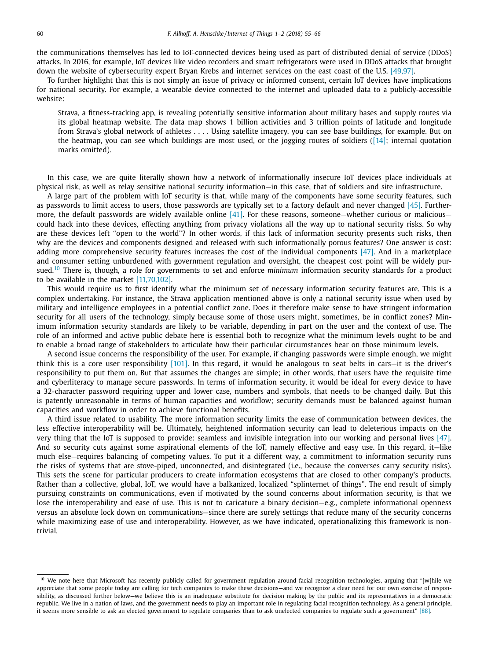the communications themselves has led to IoT-connected devices being used as part of distributed denial of service (DDoS) attacks. In 2016, for example, IoT devices like video recorders and smart refrigerators were used in DDoS attacks that brought down the website of cybersecurity expert Bryan Krebs and internet services on the east coast of the U.S. [\[49,97\].](#page-10-0)

To further highlight that this is not simply an issue of privacy or informed consent, certain IoT devices have implications for national security. For example, a wearable device connected to the internet and uploaded data to a publicly-accessible website:

Strava, a fitness-tracking app, is revealing potentially sensitive information about military bases and supply routes via its global heatmap website. The data map shows 1 billion activities and 3 trillion points of latitude and longitude from Strava's global network of athletes . . . . Using satellite imagery, you can see base buildings, for example. But on the heatmap, you can see which buildings are most used, or the jogging routes of soldiers ( $[14]$ ; internal quotation marks omitted).

In this case, we are quite literally shown how a network of informationally insecure IoT devices place individuals at physical risk, as well as relay sensitive national security information—in this case, that of soldiers and site infrastructure.

A large part of the problem with IoT security is that, while many of the components have some security features, such as passwords to limit access to users, those passwords are typically set to a factory default and never changed [\[45\].](#page-10-0) Further-more, the default passwords are widely available online [\[41\].](#page-10-0) For these reasons, someone—whether curious or malicious could hack into these devices, effecting anything from privacy violations all the way up to national security risks. So why are these devices left "open to the world"? In other words, if this lack of information security presents such risks, then why are the devices and components designed and released with such informationally porous features? One answer is cost: adding more comprehensive security features increases the cost of the individual components  $[47]$ . And in a marketplace and consumer setting unburdened with government regulation and oversight, the cheapest cost point will be widely pursued.<sup>10</sup> There is, though, a role for governments to set and enforce *minimum* information security standards for a product to be available in the market [\[11,70,102\].](#page-9-0)

This would require us to first identify what the minimum set of necessary information security features are. This is a complex undertaking. For instance, the Strava application mentioned above is only a national security issue when used by military and intelligence employees in a potential conflict zone. Does it therefore make sense to have stringent information security for all users of the technology, simply because some of those users might, sometimes, be in conflict zones? Minimum information security standards are likely to be variable, depending in part on the user and the context of use. The role of an informed and active public debate here is essential both to recognize what the minimum levels ought to be and to enable a broad range of stakeholders to articulate how their particular circumstances bear on those minimum levels.

A second issue concerns the responsibility of the user. For example, if changing passwords were simple enough, we might think this is a core user responsibility [\[101\].](#page-11-0) In this regard, it would be analogous to seat belts in cars—it is the driver's responsibility to put them on. But that assumes the changes are simple; in other words, that users have the requisite time and cyberliteracy to manage secure passwords. In terms of information security, it would be ideal for every device to have a 32-character password requiring upper and lower case, numbers and symbols, that needs to be changed daily. But this is patently unreasonable in terms of human capacities and workflow; security demands must be balanced against human capacities and workflow in order to achieve functional benefits.

A third issue related to usability. The more information security limits the ease of communication between devices, the less effective interoperability will be. Ultimately, heightened information security can lead to deleterious impacts on the very thing that the IoT is supposed to provide: seamless and invisible integration into our working and personal lives [\[47\].](#page-10-0) And so security cuts against some aspirational elements of the IoT, namely effective and easy use. In this regard, it—like much else—requires balancing of competing values. To put it a different way, a commitment to information security runs the risks of systems that are stove-piped, unconnected, and disintegrated (i.e., because the converses carry security risks). This sets the scene for particular producers to create information ecosystems that are closed to other company's products. Rather than a collective, global, IoT, we would have a balkanized, localized "splinternet of things". The end result of simply pursuing constraints on communications, even if motivated by the sound concerns about information security, is that we lose the interoperability and ease of use. This is not to caricature a binary decision—e.g., complete informational openness versus an absolute lock down on communications—since there are surely settings that reduce many of the security concerns while maximizing ease of use and interoperability. However, as we have indicated, operationalizing this framework is nontrivial.

<sup>&</sup>lt;sup>10</sup> We note here that Microsoft has recently publicly called for government regulation around facial recognition technologies, arguing that "[w]hile we appreciate that some people today are calling for tech companies to make these decisions—and we recognize a clear need for our own exercise of responsibility, as discussed further below—we believe this is an inadequate substitute for decision making by the public and its representatives in a democratic republic. We live in a nation of laws, and the government needs to play an important role in regulating facial recognition technology. As a general principle, it seems more sensible to ask an elected government to regulate companies than to ask unelected companies to regulate such a government" [\[88\].](#page-10-0)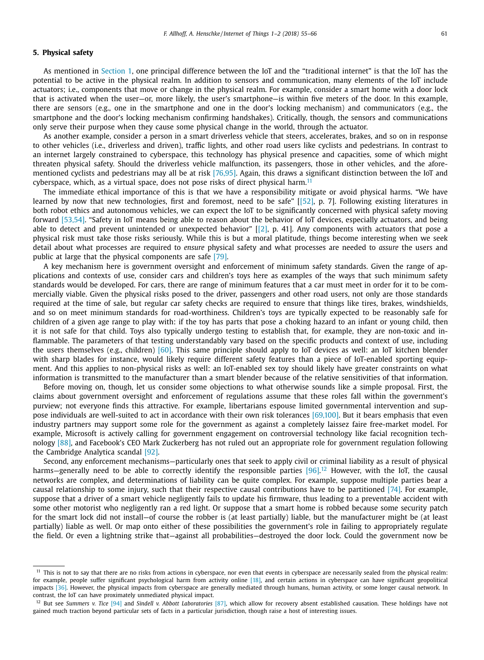#### <span id="page-6-0"></span>**5. Physical safety**

As mentioned in [Section](#page-0-0) 1, one principal difference between the IoT and the "traditional internet" is that the IoT has the potential to be active in the physical realm. In addition to sensors and communication, many elements of the IoT include actuators; i.e., components that move or change in the physical realm. For example, consider a smart home with a door lock that is activated when the user—or, more likely, the user's smartphone—is within five meters of the door. In this example, there are sensors (e.g., one in the smartphone and one in the door's locking mechanism) and communicators (e.g., the smartphone and the door's locking mechanism confirming handshakes). Critically, though, the sensors and communications only serve their purpose when they cause some physical change in the world, through the actuator.

As another example, consider a person in a smart driverless vehicle that steers, accelerates, brakes, and so on in response to other vehicles (i.e., driverless and driven), traffic lights, and other road users like cyclists and pedestrians. In contrast to an internet largely constrained to cyberspace, this technology has physical presence and capacities, some of which might threaten physical safety. Should the driverless vehicle malfunction, its passengers, those in other vehicles, and the aforementioned cyclists and pedestrians may all be at risk [\[76,95\].](#page-10-0) Again, this draws a significant distinction between the IoT and cyberspace, which, as a virtual space, does not pose risks of direct physical harm.<sup>11</sup>

The immediate ethical importance of this is that we have a responsibility mitigate or avoid physical harms. "We have learned by now that new technologies, first and foremost, need to be safe" [\[\[52\],](#page-10-0) p. 7]. Following existing literatures in both robot ethics and autonomous vehicles, we can expect the IoT to be significantly concerned with physical safety moving forward [\[53,54\].](#page-10-0) "Safety in IoT means being able to reason about the behavior of IoT devices, especially actuators, and being able to detect and prevent unintended or unexpected behavior" [\[\[2\],](#page-9-0) p. 41]. Any components with actuators that pose a physical risk must take those risks seriously. While this is but a moral platitude, things become interesting when we seek detail about what processes are required to *ensure* physical safety and what processes are needed to *assure* the users and public at large that the physical components are safe [\[79\].](#page-10-0)

A key mechanism here is government oversight and enforcement of minimum safety standards. Given the range of applications and contexts of use, consider cars and children's toys here as examples of the ways that such minimum safety standards would be developed. For cars, there are range of minimum features that a car must meet in order for it to be commercially viable. Given the physical risks posed to the driver, passengers and other road users, not only are those standards required at the time of sale, but regular car safety checks are required to ensure that things like tires, brakes, windshields, and so on meet minimum standards for road-worthiness. Children's toys are typically expected to be reasonably safe for children of a given age range to play with: if the toy has parts that pose a choking hazard to an infant or young child, then it is not safe for that child. Toys also typically undergo testing to establish that, for example, they are non-toxic and inflammable. The parameters of that testing understandably vary based on the specific products and context of use, including the users themselves (e.g., children) [\[60\].](#page-10-0) This same principle should apply to IoT devices as well: an IoT kitchen blender with sharp blades for instance, would likely require different safety features than a piece of IoT-enabled sporting equipment. And this applies to non-physical risks as well: an IoT-enabled sex toy should likely have greater constraints on what information is transmitted to the manufacturer than a smart blender because of the relative sensitivities of that information.

Before moving on, though, let us consider some objections to what otherwise sounds like a simple proposal. First, the claims about government oversight and enforcement of regulations assume that these roles fall within the government's purview; not everyone finds this attractive. For example, libertarians espouse limited governmental intervention and suppose individuals are well-suited to act in accordance with their own risk tolerances [\[69,100\].](#page-10-0) But it bears emphasis that even industry partners may support some role for the government as against a completely laissez faire free-market model. For example, Microsoft is actively calling for government engagement on controversial technology like facial recognition technology [\[88\],](#page-10-0) and Facebook's CEO Mark Zuckerberg has not ruled out an appropriate role for government regulation following the Cambridge Analytica scandal [\[92\].](#page-10-0)

Second, any enforcement mechanisms—particularly ones that seek to apply civil or criminal liability as a result of physical harms–generally need to be able to correctly identify the responsible parties  $[96]$ .<sup>12</sup> However, with the IoT, the causal networks are complex, and determinations of liability can be quite complex. For example, suppose multiple parties bear a causal relationship to some injury, such that their respective causal contributions have to be partitioned [\[74\].](#page-10-0) For example, suppose that a driver of a smart vehicle negligently fails to update his firmware, thus leading to a preventable accident with some other motorist who negligently ran a red light. Or suppose that a smart home is robbed because some security patch for the smart lock did not install—of course the robber is (at least partially) liable, but the manufacturer might be (at least partially) liable as well. Or map onto either of these possibilities the government's role in failing to appropriately regulate the field. Or even a lightning strike that—against all probabilities—destroyed the door lock. Could the government now be

<sup>&</sup>lt;sup>11</sup> This is not to say that there are no risks from actions in cyberspace, nor even that events in cyberspace are necessarily sealed from the physical realm: for example, people suffer significant psychological harm from activity online [\[18\],](#page-9-0) and certain actions in cyberspace can have significant geopolitical impacts [\[36\].](#page-9-0) However, the physical impacts from cyberspace are generally mediated through humans, human activity, or some longer causal network. In contrast, the IoT can have proximately unmediated physical impact.

<sup>12</sup> But see *Summers v. Tice* [\[94\]](#page-11-0) and *Sindell v. Abbott Laboratories* [\[87\],](#page-10-0) which allow for recovery absent established causation. These holdings have not gained much traction beyond particular sets of facts in a particular jurisdiction, though raise a host of interesting issues.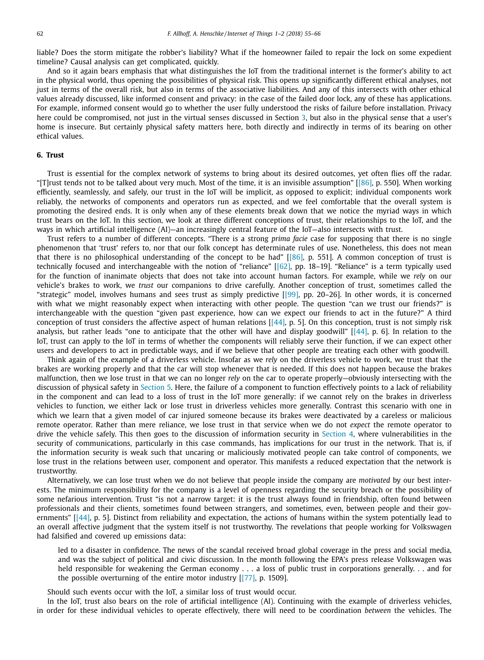<span id="page-7-0"></span>liable? Does the storm mitigate the robber's liability? What if the homeowner failed to repair the lock on some expedient timeline? Causal analysis can get complicated, quickly.

And so it again bears emphasis that what distinguishes the IoT from the traditional internet is the former's ability to act in the physical world, thus opening the possibilities of physical risk. This opens up significantly different ethical analyses, not just in terms of the overall risk, but also in terms of the associative liabilities. And any of this intersects with other ethical values already discussed, like informed consent and privacy: in the case of the failed door lock, any of these has applications. For example, informed consent would go to whether the user fully understood the risks of failure before installation. Privacy here could be compromised, not just in the virtual senses discussed in Section [3,](#page-3-0) but also in the physical sense that a user's home is insecure. But certainly physical safety matters here, both directly and indirectly in terms of its bearing on other ethical values.

#### **6. Trust**

Trust is essential for the complex network of systems to bring about its desired outcomes, yet often flies off the radar. "[T]rust tends not to be talked about very much. Most of the time, it is an invisible assumption"  $[186]$ , p. 550]. When working efficiently, seamlessly, and safely, our trust in the IoT will be implicit, as opposed to explicit; individual components work reliably, the networks of components and operators run as expected, and we feel comfortable that the overall system is promoting the desired ends. It is only when any of these elements break down that we notice the myriad ways in which trust bears on the IoT. In this section, we look at three different conceptions of trust, their relationships to the IoT, and the ways in which artificial intelligence (AI)—an increasingly central feature of the IoT—also intersects with trust.

Trust refers to a number of different concepts. "There is a strong *prima facie* case for supposing that there is no single phenomenon that 'trust' refers to, nor that our folk concept has determinate rules of use. Nonetheless, this does not mean that there is no philosophical understanding of the concept to be had" [\[\[86\],](#page-10-0) p. 551]. A common conception of trust is technically focused and interchangeable with the notion of "reliance"  $[62]$ , pp. 18-19]. "Reliance" is a term typically used for the function of inanimate objects that does not take into account human factors. For example, while we *rely* on our vehicle's brakes to work, we *trust* our companions to drive carefully. Another conception of trust, sometimes called the "strategic" model, involves humans and sees trust as simply predictive [\[\[99\],](#page-11-0) pp. 20–26]. In other words, it is concerned with what we might reasonably expect when interacting with other people. The question "can we trust our friends?" is interchangeable with the question "given past experience, how can we expect our friends to act in the future?" A third conception of trust considers the affective aspect of human relations [\[\[44\],](#page-10-0) p. 5]. On this conception, trust is not simply risk analysis, but rather leads "one to anticipate that the other will have and display goodwill"  $[144]$ , p. 6]. In relation to the IoT, trust can apply to the IoT in terms of whether the components will reliably serve their function, if we can expect other users and developers to act in predictable ways, and if we believe that other people are treating each other with goodwill.

Think again of the example of a driverless vehicle. Insofar as we *rely* on the driverless vehicle to work, we trust that the brakes are working properly and that the car will stop whenever that is needed. If this does not happen because the brakes malfunction, then we lose trust in that we can no longer *rely* on the car to operate properly—obviously intersecting with the discussion of physical safety in [Section](#page-6-0) 5. Here, the failure of a component to function effectively points to a lack of reliability in the component and can lead to a loss of trust in the IoT more generally: if we cannot rely on the brakes in driverless vehicles to function, we either lack or lose trust in driverless vehicles more generally. Contrast this scenario with one in which we learn that a given model of car injured someone because its brakes were deactivated by a careless or malicious remote operator. Rather than mere reliance, we lose trust in that service when we do not *expect* the remote operator to drive the vehicle safely. This then goes to the discussion of information security in [Section](#page-4-0) 4, where vulnerabilities in the security of communications, particularly in this case commands, has implications for our trust in the network. That is, if the information security is weak such that uncaring or maliciously motivated people can take control of components, we lose trust in the relations between user, component and operator. This manifests a reduced expectation that the network is trustworthy.

Alternatively, we can lose trust when we do not believe that people inside the company are *motivated* by our best interests. The minimum responsibility for the company is a level of openness regarding the security breach or the possibility of some nefarious intervention. Trust "is not a narrow target: it is the trust always found in friendship, often found between professionals and their clients, sometimes found between strangers, and sometimes, even, between people and their governments" [\[\[44\],](#page-10-0) p. 5]. Distinct from reliability and expectation, the actions of humans within the system potentially lead to an overall affective judgment that the system itself is not trustworthy. The revelations that people working for Volkswagen had falsified and covered up emissions data:

led to a disaster in confidence. The news of the scandal received broad global coverage in the press and social media, and was the subject of political and civic discussion. In the month following the EPA's press release Volkswagen was held responsible for weakening the German economy . . . a loss of public trust in corporations generally. . . and for the possible overturning of the entire motor industry [\[\[77\],](#page-10-0) p. 1509].

Should such events occur with the IoT, a similar loss of trust would occur.

In the IoT, trust also bears on the role of artificial intelligence (AI). Continuing with the example of driverless vehicles, in order for these individual vehicles to operate effectively, there will need to be coordination *between* the vehicles. The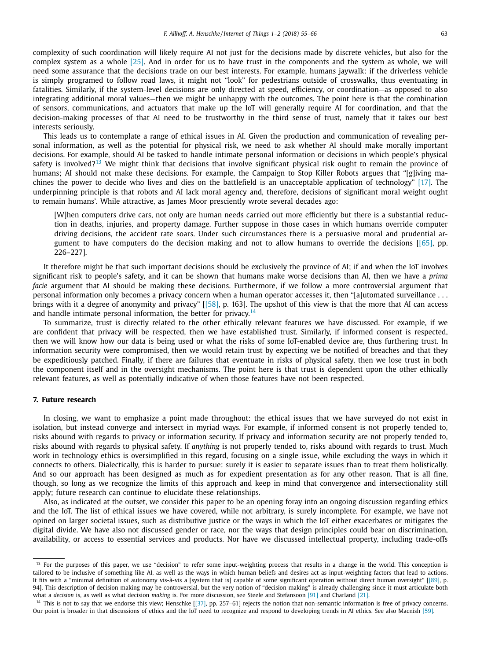<span id="page-8-0"></span>complexity of such coordination will likely require AI not just for the decisions made by discrete vehicles, but also for the complex system as a whole [\[25\].](#page-9-0) And in order for us to have trust in the components and the system as whole, we will need some assurance that the decisions trade on our best interests. For example, humans jaywalk: if the driverless vehicle is simply programed to follow road laws, it might not "look" for pedestrians outside of crosswalks, thus eventuating in fatalities. Similarly, if the system-level decisions are only directed at speed, efficiency, or coordination—as opposed to also integrating additional moral values—then we might be unhappy with the outcomes. The point here is that the combination of sensors, communications, and actuators that make up the IoT will generally require AI for coordination, and that the decision-making processes of that AI need to be trustworthy in the third sense of trust, namely that it takes our best interests seriously.

This leads us to contemplate a range of ethical issues in AI. Given the production and communication of revealing personal information, as well as the potential for physical risk, we need to ask whether AI should make morally important decisions. For example, should AI be tasked to handle intimate personal information or decisions in which people's physical safety is involved?<sup>13</sup> We might think that decisions that involve significant physical risk ought to remain the province of humans; AI should not make these decisions. For example, the Campaign to Stop Killer Robots argues that "[g]iving machines the power to decide who lives and dies on the battlefield is an unacceptable application of technology" [\[17\].](#page-9-0) The underpinning principle is that robots and AI lack moral agency and, therefore, decisions of significant moral weight ought to remain humans'. While attractive, as James Moor presciently wrote several decades ago:

[W]hen computers drive cars, not only are human needs carried out more efficiently but there is a substantial reduction in deaths, injuries, and property damage. Further suppose in those cases in which humans override computer driving decisions, the accident rate soars. Under such circumstances there is a persuasive moral and prudential argument to have computers do the decision making and not to allow humans to override the decisions [\[\[65\],](#page-10-0) pp. 226–227].

It therefore might be that such important decisions should be exclusively the province of AI; if and when the IoT involves significant risk to people's safety, and it can be shown that humans make worse decisions than AI, then we have a *prima facie* argument that AI should be making these decisions. Furthermore, if we follow a more controversial argument that personal information only becomes a privacy concern when a human operator accesses it, then "[a]utomated surveillance . . . brings with it a degree of anonymity and privacy" [\[\[58\],](#page-10-0) p. 163]. The upshot of this view is that the more that AI can access and handle intimate personal information, the better for privacy. $14$ 

To summarize, trust is directly related to the other ethically relevant features we have discussed. For example, if we are confident that privacy will be respected, then we have established trust. Similarly, if informed consent is respected, then we will know how our data is being used or what the risks of some IoT-enabled device are, thus furthering trust. In information security were compromised, then we would retain trust by expecting we be notified of breaches and that they be expeditiously patched. Finally, if there are failures that eventuate in risks of physical safety, then we lose trust in both the component itself and in the oversight mechanisms. The point here is that trust is dependent upon the other ethically relevant features, as well as potentially indicative of when those features have not been respected.

#### **7. Future research**

In closing, we want to emphasize a point made throughout: the ethical issues that we have surveyed do not exist in isolation, but instead converge and intersect in myriad ways. For example, if informed consent is not properly tended to, risks abound with regards to privacy or information security. If privacy and information security are not properly tended to, risks abound with regards to physical safety. If *anything* is not properly tended to, risks abound with regards to trust. Much work in technology ethics is oversimplified in this regard, focusing on a single issue, while excluding the ways in which it connects to others. Dialectically, this is harder to pursue: surely it is easier to separate issues than to treat them holistically. And so our approach has been designed as much as for expedient presentation as for any other reason. That is all fine, though, so long as we recognize the limits of this approach and keep in mind that convergence and intersectionality still apply; future research can continue to elucidate these relationships.

Also, as indicated at the outset, we consider this paper to be an opening foray into an ongoing discussion regarding ethics and the IoT. The list of ethical issues we have covered, while not arbitrary, is surely incomplete. For example, we have not opined on larger societal issues, such as distributive justice or the ways in which the IoT either exacerbates or mitigates the digital divide. We have also not discussed gender or race, nor the ways that design principles could bear on discrimination, availability, or access to essential services and products. Nor have we discussed intellectual property, including trade-offs

<sup>&</sup>lt;sup>13</sup> For the purposes of this paper, we use "decision" to refer some input-weighting process that results in a change in the world. This conception is tailored to be inclusive of something like AI, as well as the ways in which human beliefs and desires act as input-weighting factors that lead to actions. It fits with a "minimal definition of autonomy vis-à-vis a [system that is] capable of some significant operation without direct human oversight" [\[\[89\],](#page-10-0) p. 94]. This description of decision making may be controversial, but the very notion of "decision making" is already challenging since it must articulate both what a *decision* is, as well as what decision *making* is. For more discussion, see Steele and Stefansoon [\[91\]](#page-10-0) and Charland [\[21\].](#page-9-0)

<sup>&</sup>lt;sup>14</sup> This is not to say that we endorse this view; Henschke [\[\[37\],](#page-9-0) pp. 257–61] rejects the notion that non-semantic information is free of privacy concerns. Our point is broader in that discussions of ethics and the IoT need to recognize and respond to developing trends in AI ethics. See also Macnish [\[59\].](#page-10-0)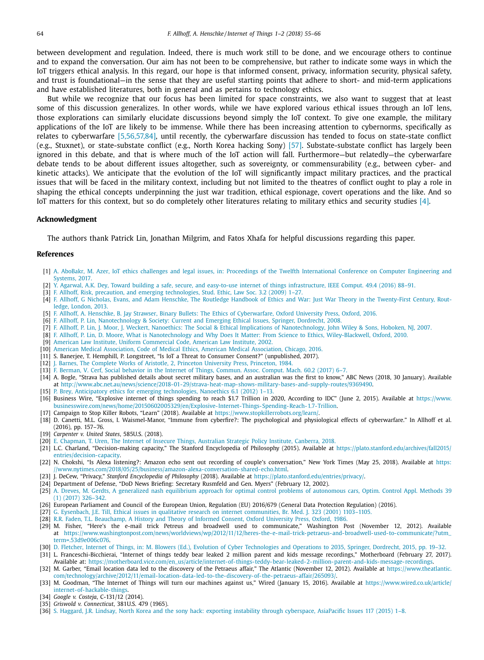<span id="page-9-0"></span>between development and regulation. Indeed, there is much work still to be done, and we encourage others to continue and to expand the conversation. Our aim has not been to be comprehensive, but rather to indicate some ways in which the IoT triggers ethical analysis. In this regard, our hope is that informed consent, privacy, information security, physical safety, and trust is foundational—in the sense that they are useful starting points that adhere to short- and mid-term applications and have established literatures, both in general and as pertains to technology ethics.

But while we recognize that our focus has been limited for space constraints, we also want to suggest that at least some of this discussion generalizes. In other words, while we have explored various ethical issues through an IoT lens, those explorations can similarly elucidate discussions beyond simply the IoT context. To give one example, the military applications of the IoT are likely to be immense. While there has been increasing attention to cybernorms, specifically as relates to cyberwarfare [5,56,57,84], until recently, the cyberwarfare discussion has tended to focus on state-state conflict (e.g., Stuxnet), or state-substate conflict (e.g., North Korea hacking Sony) [\[57\].](#page-10-0) Substate-substate conflict has largely been ignored in this debate, and that is where much of the IoT action will fall. Furthermore—but relatedly—the cyberwarfare debate tends to be about different issues altogether, such as sovereignty, or commensurability (e.g., between cyber- and kinetic attacks). We anticipate that the evolution of the IoT will significantly impact military practices, and the practical issues that will be faced in the military context, including but not limited to the theatres of conflict ought to play a role in shaping the ethical concepts underpinning the just war tradition, ethical espionage, covert operations and the like. And so IoT matters for this context, but so do completely other literatures relating to military ethics and security studies [4].

#### **Acknowledgment**

The authors thank Patrick Lin, Jonathan Milgrim, and Fatos Xhafa for helpful discussions regarding this paper.

#### **References**

- [1] A. [AboBakr,](http://refhub.elsevier.com/S2542-6605(18)30053-2/sbref0001) M. [Azer,](http://refhub.elsevier.com/S2542-6605(18)30053-2/sbref0001) IoT ethics challenges and legal issues, in: Proceedings of the Twelfth [International](http://refhub.elsevier.com/S2542-6605(18)30053-2/sbref0001) Conference on Computer Engineering and Systems, 2017.
- [2] Y. [Agarwal,](http://refhub.elsevier.com/S2542-6605(18)30053-2/sbref0002) A.K. [Dey,](http://refhub.elsevier.com/S2542-6605(18)30053-2/sbref0002) Toward building a safe, secure, and easy-to-use internet of things [infrastructure,](http://refhub.elsevier.com/S2542-6605(18)30053-2/sbref0002) IEEE Comput. 49.4 (2016) 88–91.
- [3] F. [Allhoff,](http://refhub.elsevier.com/S2542-6605(18)30053-2/sbref0003) Risk, precaution, and emerging [technologies,](http://refhub.elsevier.com/S2542-6605(18)30053-2/sbref0003) Stud. Ethic, Law Soc. 3.2 (2009) 1–27.
- [4] F. [Allhoff,](http://refhub.elsevier.com/S2542-6605(18)30053-2/sbref0004) G [Nicholas,](http://refhub.elsevier.com/S2542-6605(18)30053-2/sbref0004) Evans, and Adam Henschke, The Routledge Handbook of Ethics and War: Just War Theory in the [Twenty-First](http://refhub.elsevier.com/S2542-6605(18)30053-2/sbref0004) Century, Routledge, London, 2013.
- [5] F. [Allhoff,](http://refhub.elsevier.com/S2542-6605(18)30053-2/sbref0005) A. [Henschke,](http://refhub.elsevier.com/S2542-6605(18)30053-2/sbref0005) [B. Jay Strawser, Binary Bullets: The Ethics of Cyberwarfare, Oxford University Press, Oxford, 2016.](http://refhub.elsevier.com/S2542-6605(18)30053-2/sbref0005)
- [6] F. [Allhoff,](http://refhub.elsevier.com/S2542-6605(18)30053-2/sbref0006) P. [Lin,](http://refhub.elsevier.com/S2542-6605(18)30053-2/sbref0006) [Nanotechnology](http://refhub.elsevier.com/S2542-6605(18)30053-2/sbref0006) & Society: Current and Emerging Ethical Issues, Springer, Dordrecht, 2008.
- [7] F. [Allhoff,](http://refhub.elsevier.com/S2542-6605(18)30053-2/sbref0007) P. [Lin,](http://refhub.elsevier.com/S2542-6605(18)30053-2/sbref0007) J. [Moor,](http://refhub.elsevier.com/S2542-6605(18)30053-2/sbref0007) J. [Weckert,](http://refhub.elsevier.com/S2542-6605(18)30053-2/sbref0007) Nanoethics: The Social & Ethical Implications of [Nanotechnology,](http://refhub.elsevier.com/S2542-6605(18)30053-2/sbref0007) John Wiley & Sons, Hoboken, NJ, 2007.
- [8] F. [Allhoff,](http://refhub.elsevier.com/S2542-6605(18)30053-2/sbref0008) P. [Lin,](http://refhub.elsevier.com/S2542-6605(18)30053-2/sbref0008) D. [Moore,](http://refhub.elsevier.com/S2542-6605(18)30053-2/sbref0008) What is Nanotechnology and Why Does It Matter: From Science to Ethics, [Wiley-Blackwell,](http://refhub.elsevier.com/S2542-6605(18)30053-2/sbref0008) Oxford, 2010.
- [9] American Law Institute, Uniform [Commercial](http://refhub.elsevier.com/S2542-6605(18)30053-2/sbref0009) Code, American Law Institute, 2002.
- [10] American Medical [Association,](http://refhub.elsevier.com/S2542-6605(18)30053-2/sbref0010) Code of Medical Ethics, American Medical Association, Chicago, 2016.
- [11] S. Banerjee, T. Hemphill, P. Longstreet, "Is IoT a Threat to Consumer Consent?" (unpublished, 2017).
- [12] J. [Barnes,](http://refhub.elsevier.com/S2542-6605(18)30053-2/sbref0011) The Complete Works of Aristotle, 2, Princeton [University](http://refhub.elsevier.com/S2542-6605(18)30053-2/sbref0011) Press, Princeton, 1984.
- [13] F. [Berman,](http://refhub.elsevier.com/S2542-6605(18)30053-2/sbref0012) V. [Cerf,](http://refhub.elsevier.com/S2542-6605(18)30053-2/sbref0012) Social behavior in the Internet of Things, [Commun.](http://refhub.elsevier.com/S2542-6605(18)30053-2/sbref0012) Assoc. Comput. Mach. 60.2 (2017) 6–7.
- [14] A. Bogle, "Strava has published details about secret military bases, and an australian was the first to know," ABC News (2018, 30 January). Available at [http://www.abc.net.au/news/science/2018-01-29/strava-heat-map-shows-military-bases-and-supply-routes/9369490.](http://www.abc.net.au/news/science/2018-01-29/strava-heat-map-shows-military-bases-and-supply-routes/9369490)
- [15] P. [Brey,](http://refhub.elsevier.com/S2542-6605(18)30053-2/sbref0013) Anticipatory ethics for emerging [technologies,](http://refhub.elsevier.com/S2542-6605(18)30053-2/sbref0013) Nanoethics 6.1 (2012) 1–13.
- [16] Business Wire, "Explosive internet of things spending to reach \$1.7 Trillion in 2020, According to IDC" (June 2, 2015). Available at https://www. [businesswire.com/news/home/20150602005329/en/Explosive-Internet-Things-Spending-Reach-1.7-Trillion.](https://www.businesswire.com/news/home/20150602005329/en/Explosive-Internet-Things-Spending-Reach-1.7-Trillion)
- [17] Campaign to Stop Killer Robots, "Learn" (2018). Available at [https://www.stopkillerrobots.org/learn/.](https://www.stopkillerrobots.org/learn/)
- [18] D. Canetti, M.L. Gross, I. Waismel-Manor, "Immune from cyberfire?: The psychological and physiological effects of cyberwarfare." In Allhoff et al. (2016), pp. 157–76.
- [19] *Carpenter v. United States*, 585U.S. (2018).
- [20] E. [Chapman,](http://refhub.elsevier.com/S2542-6605(18)30053-2/sbref0014) T. [Uren,](http://refhub.elsevier.com/S2542-6605(18)30053-2/sbref0014) The Internet of Insecure Things, [Australian](http://refhub.elsevier.com/S2542-6605(18)30053-2/sbref0014) Strategic Policy Institute, Canberra, 2018.
- [21] L.C. Charland, "Decision-making capacity," The Stanford Encyclopedia of Philosophy (2015). Available at [https://plato.stanford.edu/archives/fall2015/](https://plato.stanford.edu/archives/fall2015/entries/decision-capacity) entries/decision-capacity.
- [22] N. Chokshi, "Is Alexa listening?: Amazon echo sent out recording of couple's conversation," New York Times (May 25, 2018). Available at https: [//www.nytimes.com/2018/05/25/business/amazon-alexa-conversation-shared-echo.html.](https://www.nytimes.com/2018/05/25/business/amazon-alexa-conversation-shared-echo.html)
- [23] J. DeCew, "Privacy," *Stanford Encyclopedia of Philosophy* (2018). Available at [https://plato.stanford.edu/entries/privacy/.](https://plato.stanford.edu/entries/privacy/)
- [24] Department of Defense, "DoD News Briefing: Secretary Rusmfeld and Gen. Myers" (February 12, 2002).
- [25] A. [Dreves,](http://refhub.elsevier.com/S2542-6605(18)30053-2/sbref0015) M. [Gerdts,](http://refhub.elsevier.com/S2542-6605(18)30053-2/sbref0015) A generalized nash equilibrium approach for optimal control problems of [autonomous](http://refhub.elsevier.com/S2542-6605(18)30053-2/sbref0015) cars, Optim. Control Appl. Methods 39 (1) (2017) 326–342.
- [26] European Parliament and Council of the European Union, Regulation (EU) 2016/679 (General Data Protection Regulation) (2016).
- [27] G. [Eysenbach,](http://refhub.elsevier.com/S2542-6605(18)30053-2/sbref0016) J.E. [Till,](http://refhub.elsevier.com/S2542-6605(18)30053-2/sbref0016) Ethical issues in qualitative research on internet [communities,](http://refhub.elsevier.com/S2542-6605(18)30053-2/sbref0016) Br. Med. J. 323 (2001) 1103–1105.
- [28] R.R. [Faden,](http://refhub.elsevier.com/S2542-6605(18)30053-2/sbref0017) T.L. [Beauchamp,](http://refhub.elsevier.com/S2542-6605(18)30053-2/sbref0017) A History and Theory of Informed Consent, Oxford [University](http://refhub.elsevier.com/S2542-6605(18)30053-2/sbref0017) Press, Oxford, 1986.
- [29] M. Fisher, "Here's the e-mail trick Petreus and broadwell used to communicate," Washington Post (November 12, 2012). Available at [https://www.washingtonpost.com/news/worldviews/wp/2012/11/12/heres-the-e-mail-trick-petraeus-and-broadwell-used-to-communicate/?utm\\_](https://www.washingtonpost.com/news/worldviews/wp/2012/11/12/heres-the-e-mail-trick-petraeus-and-broadwell-used-to-communicate/?utm_term=.53d9e006c076) term=.53d9e006c076.
- [30] D. [Fletcher,](http://refhub.elsevier.com/S2542-6605(18)30053-2/sbref0018) Internet of Things, in: M. Blowers (Ed.), Evolution of Cyber [Technologies](http://refhub.elsevier.com/S2542-6605(18)30053-2/sbref0018) and Operations to 2035, Springer, Dordrecht, 2015, pp. 19–32.
- [31] L. Franceschi-Bicchierai, "Internet of things teddy bear leaked 2 million parent and kids message recordings," Motherboard (February 27, 2017). Available at: [https://motherboard.vice.com/en\\_us/article/internet-of-things-teddy-bear-leaked-2-million-parent-and-kids-message-recordings.](https://motherboard.vice.com/en_us/article/internet-of-things-teddy-bear-leaked-2-million-parent-and-kids-message-recordings)
- [32] M. Garber, "Email location data led to the discovery of the Petraeus affair," The Atlantic (November 12, 2012). Available at https://www.theatlantic. [com/technology/archive/2012/11/email-location-data-led-to-the-discovery-of-the-petraeus-affair/265093/.](https://www.theatlantic.com/technology/archive/2012/11/email-location-data-led-to-the-discovery-of-the-petraeus-affair/265093/)
- [33] M. Goodman, "The Internet of Things will turn our machines against us," Wired (January 15, 2016). Available at https://www.wired.co.uk/article/ internet-of-hackable-things.
- [34] *Google v. Costeja*, C-131/12 (2014).
- [35] *Griswold v. Connecticut*, 381U.S. 479 (1965).
- [36] S. [Haggard,](http://refhub.elsevier.com/S2542-6605(18)30053-2/sbref0019) J.R. [Lindsay,](http://refhub.elsevier.com/S2542-6605(18)30053-2/sbref0019) North Korea and the sony hack: exporting instability through [cyberspace,](http://refhub.elsevier.com/S2542-6605(18)30053-2/sbref0019) AsiaPacific Issues 117 (2015) 1–8.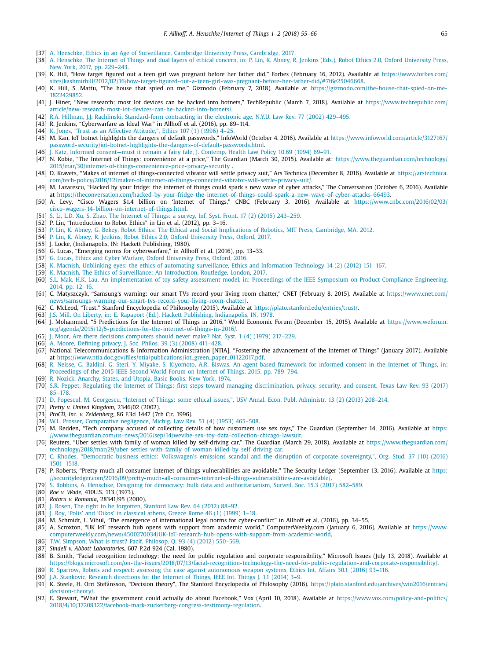- <span id="page-10-0"></span>[37] A. [Henschke,](http://refhub.elsevier.com/S2542-6605(18)30053-2/sbref0020) Ethics in an Age of [Surveillance,](http://refhub.elsevier.com/S2542-6605(18)30053-2/sbref0020) Cambridge University Press, Cambridge, 2017.
- [38] A. [Henschke,](http://refhub.elsevier.com/S2542-6605(18)30053-2/sbref0021) The Internet of Things and dual layers of ethical concern, in: P. Lin, K. Abney, R. Jenkins (Eds.), Robot Ethics 2.0, Oxford [University](http://refhub.elsevier.com/S2542-6605(18)30053-2/sbref0021) Press, New York, 2017, pp. 229–243.
- [39] K. Hill, "How target figured out a teen girl was pregnant before her father did," Forbes (February 16, 2012). Available at https://www.forbes.com/ [sites/kashmirhill/2012/02/16/how-target-figured-out-a-teen-girl-was-pregnant-before-her-father-did/#7f6e25046668.](https://www.forbes.com/sites/kashmirhill/2012/02/16/how-target-figured-out-a-teen-girl-was-pregnant-before-her-father-did/#7f6e25046668)
- [40] K. Hill, S. Mattu, "The house that spied on me," Gizmodo (February 7, 2018). Available at [https://gizmodo.com/the-house-that-spied-on-me-](https://gizmodo.com/the-house-that-spied-on-me-1822429852)1822429852.
- [41] J. Hiner, "New research: most lot devices can be hacked into botnets," TechRepublic (March 7, 2018). Available at https://www.techrepublic.com/ [article/new-research-most- iot-devices-can-be-hacked- into-botnets/.](https://www.techrepublic.com/article/new-research-most-iot-devices-can-be-hacked-into-botnets/)
- [42] R.A. [Hillman,](http://refhub.elsevier.com/S2542-6605(18)30053-2/sbref0022) J.J. [Rachlinski,](http://refhub.elsevier.com/S2542-6605(18)30053-2/sbref0022) [Standard-form](http://refhub.elsevier.com/S2542-6605(18)30053-2/sbref0022) contracting in the electronic age, N.Y.U. Law Rev. 77 (2002) 429-495.
- [43] R. Jenkins, "Cyberwarfare as Ideal War" in Allhoff et al. (2016), pp. 89–114.
- 
- [44] K. [Jones,](http://refhub.elsevier.com/S2542-6605(18)30053-2/sbref0023) "Trust as an Affective [Attitude,",](http://refhub.elsevier.com/S2542-6605(18)30053-2/sbref0023) Ethics 107 (1) (1996) 4–25.<br>[45] M. Kan, IoT botnet highlights the dangers of default passwords," InfoWorld (October 4, 2016). Available at https://www.infoworld.com/articl [password-security/iot-botnet-highlights-the-dangers-of-default-passwords.html.](https://www.infoworld.com/article/3127167/password-security/iot-botnet-highlights-the-dangers-of-default-passwords.html)
- [46] J. [Katz,](http://refhub.elsevier.com/S2542-6605(18)30053-2/sbref0024) Informed [consent—must](http://refhub.elsevier.com/S2542-6605(18)30053-2/sbref0024) it remain a fairy tale, J. Contemp. Health Law Policy 10.69 (1994) 69–91.
- [47] N. Kobie, "The Internet of Things: convenience at a price," The Guardian (March 30, 2015). Available at: https://www.theguardian.com/technology/ [2015/mar/30/internet-of-things-convenience-price-privacy-security](https://www.theguardian.com/technology/2015/mar/30/internet-of-things-convenience-price-privacy-security) .
- [48] D. Kravets, "Makes of internet of things-connected vibrator will settle privacy suit," Ars Technica (December 8, 2016). Available at https://arstechnica. [com/tech-policy/2016/12/maker-of- internet-of-things-connected-vibrator-will-settle-privacy-suit/.](https://arstechnica.com/tech-policy/2016/12/maker-of-internet-of-things-connected-vibrator-will-settle-privacy-suit/)
- [49] M. Lazarescu, "Hacked by your fridge: the internet of things could spark s new wave of cyber attacks," The Conversation (October 6, 2016). Available at https://theconversation.com/hacked-by-your-fridge-the-internet-of-things-could-spark-a-new-wave-of-cyber-attacks-66493.<br>[50] A. Levy, "Cisco Wagers \$1.4 billion on 'Internet of Things," CNBC (February 3, 2016). Availabl
- cisco-wagers-14-billion-on-internet-of-things.html.
- [51] S. [Li,](http://refhub.elsevier.com/S2542-6605(18)30053-2/sbref0025) [L.D.](http://refhub.elsevier.com/S2542-6605(18)30053-2/sbref0025) Xu, S. [Zhao,](http://refhub.elsevier.com/S2542-6605(18)30053-2/sbref0025) The Internet of Things: a survey, Inf. Syst. Front. 17 (2) (2015) [243–259.](http://refhub.elsevier.com/S2542-6605(18)30053-2/sbref0025)
- [52] P. Lin, "Introduction to Robot Ethics" in Lin et al. (2012), pp. 3–16.
- [53] P. [Lin,](http://refhub.elsevier.com/S2542-6605(18)30053-2/sbref0026) K. [Abney,](http://refhub.elsevier.com/S2542-6605(18)30053-2/sbref0026) G. [Bekey,](http://refhub.elsevier.com/S2542-6605(18)30053-2/sbref0026) Robot Ethics: The Ethical and Social [Implications](http://refhub.elsevier.com/S2542-6605(18)30053-2/sbref0026) of Robotics, MIT Press, Cambridge, MA, 2012.
- [54] P. [Lin,](http://refhub.elsevier.com/S2542-6605(18)30053-2/sbref0027) K. [Abney,](http://refhub.elsevier.com/S2542-6605(18)30053-2/sbref0027) R. [Jenkins,](http://refhub.elsevier.com/S2542-6605(18)30053-2/sbref0027) Robot Ethics 2.0, Oxford [University](http://refhub.elsevier.com/S2542-6605(18)30053-2/sbref0027) Press, Oxford, 2017.
- 
- [55] J. Locke, (Indianapolis, IN: Hackett Publishing, 1980). [56] G. Lucas, "Emerging norms for cyberwarfare," in Allhoff et al. (2016), pp. 13–33.
- [57] G. [Lucas,](http://refhub.elsevier.com/S2542-6605(18)30053-2/sbref0028) Ethics and Cyber Warfare, Oxford [University](http://refhub.elsevier.com/S2542-6605(18)30053-2/sbref0028) Press, Oxford, 2016.
- [58] K. [Macnish,](http://refhub.elsevier.com/S2542-6605(18)30053-2/sbref0029) Unblinking eyes: the ethics of automating [surveillance,](http://refhub.elsevier.com/S2542-6605(18)30053-2/sbref0029) Ethics and Information Technology 14 (2) (2012) 151–167.
- [59] K. [Macnish,](http://refhub.elsevier.com/S2542-6605(18)30053-2/sbref0030) The Ethics of Surveillance: An [Introduction,](http://refhub.elsevier.com/S2542-6605(18)30053-2/sbref0030) Routledge, London, 2017.
- [60] S.L. [Mak,](http://refhub.elsevier.com/S2542-6605(18)30053-2/sbref0031) [H.K.](http://refhub.elsevier.com/S2542-6605(18)30053-2/sbref0031) Lau, An [implementation](http://refhub.elsevier.com/S2542-6605(18)30053-2/sbref0031) of toy safety assessment model, in: Proceedings of the IEEE Symposium on Product Compliance Engineering, 2014, pp. 12–16.
- [61] C. Matyszczyk, "Samsung's warning: our smart TVs record your living room chatter," CNET (February 8, 2015). Available at https://www.cnet.com/ [news/samsungs-warning-our-smart-tvs-record-your-living-room-chatter/.](https://www.cnet.com/news/samsungs-warning-our-smart-tvs-record-your-living-room-chatter/)
- [62] C. McLeod, "Trust," Stanford Encyclopedia of Philosophy (2015). Available at [https://plato.stanford.edu/entries/trust/.](https://plato.stanford.edu/entries/trust/)
- [63] J.S. [Mill,](http://refhub.elsevier.com/S2542-6605(18)30053-2/sbref0032) On Liberty, in: E. Rapaport (Ed.), Hackett Publishing, [Indianapolis,](http://refhub.elsevier.com/S2542-6605(18)30053-2/sbref0032) IN, 1978. [64] J. Mohammed, "5 Predictions for the Internet of Things in 2016," World Economic Forum (December 15, 2015). Available at https://www.weforum.
	- [org/agenda/2015/12/5-predictions-for-the- internet-of-things- in-2016/.](https://www.weforum.org/agenda/2015/12/5-predictions-for-the-internet-of-things-in-2016/)
- [65] J. [Moor,](http://refhub.elsevier.com/S2542-6605(18)30053-2/sbref0033) Are there decisions [computers](http://refhub.elsevier.com/S2542-6605(18)30053-2/sbref0033) should never make? Nat. Syst. 1 (4) (1979) 217-229.
- [66] A. [Moore,](http://refhub.elsevier.com/S2542-6605(18)30053-2/sbref0034) Defining privacy, J. Soc. Philos. 39 (3) (2008) 411-428.
- [67] National Telecommunications & Information Administration [NTIA], "Fostering the advancement of the Internet of Things" (January 2017). Available at [https://www.ntia.doc.gov/files/ntia/publications/iot\\_green\\_paper\\_01122017.pdf.](https://www.ntia.doc.gov/files/ntia/publications/iot_green_paper_01122017.pdf)
- [68] R. [Neisse,](http://refhub.elsevier.com/S2542-6605(18)30053-2/sbref0035) G. [Baldini,](http://refhub.elsevier.com/S2542-6605(18)30053-2/sbref0035) G. [Steri,](http://refhub.elsevier.com/S2542-6605(18)30053-2/sbref0035) Y. [Miyake,](http://refhub.elsevier.com/S2542-6605(18)30053-2/sbref0035) S. [Kiyomoto,](http://refhub.elsevier.com/S2542-6605(18)30053-2/sbref0035) A.R. [Biswas,](http://refhub.elsevier.com/S2542-6605(18)30053-2/sbref0035) An agent-based framework for informed consent in the Internet of Things, in: Proceedings of the 2015 IEEE Second World Forum on Internet of Things, 2015, pp. 789–794.
- [69] R. [Nozick,](http://refhub.elsevier.com/S2542-6605(18)30053-2/sbref0036) [Anarchy,](http://refhub.elsevier.com/S2542-6605(18)30053-2/sbref0036) States, and Utopia, Basic Books, New York, 1974.
- [70] S.R. [Peppet,](http://refhub.elsevier.com/S2542-6605(18)30053-2/sbref0037) Regulating the Internet of Things: first steps toward managing [discrimination,](http://refhub.elsevier.com/S2542-6605(18)30053-2/sbref0037) privacy, security, and consent, Texas Law Rev. 93 (2017) 85–178.
- [71] D. [Popescul,](http://refhub.elsevier.com/S2542-6605(18)30053-2/sbref0038) M. [Georgescu,](http://refhub.elsevier.com/S2542-6605(18)30053-2/sbref0038) "Internet of Things: some ethical issues,", USV Annal. Econ. Publ. [Administr.](http://refhub.elsevier.com/S2542-6605(18)30053-2/sbref0038) 13 (2) (2013) 208–214.
- [72] *Pretty v. United Kingdom*, 2346/02 (2002).
- [73] *ProCD, Inc. v. Zeidenberg*, 86 F.3d 1447 (7th Cir. 1996).
- [74] W.L. [Prosser,](http://refhub.elsevier.com/S2542-6605(18)30053-2/sbref0039) [Comparative](http://refhub.elsevier.com/S2542-6605(18)30053-2/sbref0039) negligence, Michig. Law Rev. 51 (4) (1953) 465–508.
- [75] M. Redden, "Tech company accused of collecting details of how customers use sex toys," The Guardian (September 14, 2016). Available at https: [//www.theguardian.com/us-news/2016/sep/14/wevibe-sex-toy-data-collection-chicago-lawsuit.](https://www.theguardian.com/us-news/2016/sep/14/wevibe-sex-toy-data-collection-chicago-lawsuit)
- [76] Reuters, "Uber settles with family of woman killed by self-driving car," The Guardian (March 29, 2018). Available at https://www.theguardian.com/ [technology/2018/mar/29/uber-settles-with-family-of-woman-killed-by-self-driving-car.](https://www.theguardian.com/technology/2018/mar/29/uber-settles-with-family-of-woman-killed-by-self-driving-car)
- [77] C. [Rhodes,](http://refhub.elsevier.com/S2542-6605(18)30053-2/sbref0040) "Democratic business ethics: Volkswagen's emissions scandal and the disruption of corporate sovereignty,", Org. Stud. 37 (10) (2016) 1501–1518.
- [78] P. Roberts, "Pretty much all consumer internet of things vulnerabilities are avoidable," The Security Ledger (September 13, 2016). Available at https: [//securityledger.com/2016/09/pretty-much-all-consumer-internet-of-things-vulnerabilities-are-avoidable/.](https://securityledger.com/2016/09/pretty-much-all-consumer-internet-of-things-vulnerabilities-are-avoidable/)
- [79] S. [Robbins,](http://refhub.elsevier.com/S2542-6605(18)30053-2/sbref0041) A. [Henschke,](http://refhub.elsevier.com/S2542-6605(18)30053-2/sbref0041) Designing for democracy: bulk data and [authoritarianism,](http://refhub.elsevier.com/S2542-6605(18)30053-2/sbref0041) Surveil. Soc. 15.3 (2017) 582–589.
- [80] *Roe v. Wade*, 410U.S. 113 (1973).
- [81] *Rotaru v. Romania*, 28341/95 (2000).
- [82] J. [Rosen,](http://refhub.elsevier.com/S2542-6605(18)30053-2/sbref0042) The right to be [forgotten,](http://refhub.elsevier.com/S2542-6605(18)30053-2/sbref0042) Stanford Law Rev. 64 (2012) 88–92.
- [83] J. [Roy,](http://refhub.elsevier.com/S2542-6605(18)30053-2/sbref0043) 'Polis' and 'Oikos' in [classical](http://refhub.elsevier.com/S2542-6605(18)30053-2/sbref0043) athens, Greece Rome 46 (1) (1999) 1-18.
- [84] M. Schmidt, L. Vihul, "The emergence of international legal norms for cyber-conflict" in Allhoff et al. (2016), pp. 34–55.
- [85] A. Scroxton, "UK IoT research hub opens with support from academic world," ComputerWeekly.com (January 6, 2016). Available at https://www. [computerweekly.com/news/4500270034/UK-IoT-research-hub-opens-with-support-from-academic-world.](https://www.computerweekly.com/news/4500270034/UK-IoT-research-hub-opens-with-support-from-academic-world)
- [86] T.W. [Simpson,](http://refhub.elsevier.com/S2542-6605(18)30053-2/sbref0044) What is trust? Pacif. Philosop. Q. 93 (4) (2012) [550–569.](http://refhub.elsevier.com/S2542-6605(18)30053-2/sbref0044)
- [87] *Sindell v. Abbott Laboratories*, 607 P.2d 924 (Cal. 1980).
- [88] B. Smith, "Facial recognition technology: the need for public regulation and corporate responsibility," Microsoft Issues (July 13, 2018). Available at [https://blogs.microsoft.com/on-the-issues/2018/07/13/facial-recognition-technology-the-need-for-public-regulation-and-corporate-responsibility/.](https://blogs.microsoft.com/on-the-issues/2018/07/13/facial-recognition-technology-the-need-for-public-regulation-and-corporate-responsibility/)
- [89] R. [Sparrow,](http://refhub.elsevier.com/S2542-6605(18)30053-2/sbref0045) Robots and respect: assessing the case against [autonomous](http://refhub.elsevier.com/S2542-6605(18)30053-2/sbref0045) weapon systems, Ethics Int. Affairs 30.1 (2016) 93–116.
- [90] J.A. [Stankovic,](http://refhub.elsevier.com/S2542-6605(18)30053-2/sbref0046) Research [directions](http://refhub.elsevier.com/S2542-6605(18)30053-2/sbref0046) for the Internet of Things, IEEE Int. Things J. 1.1 (2014) 3–9.
- [91] K. Steele, H. Orri Stefánsson, "Decision theory", The Stanford Encyclopedia of Philosophy (2016). [https://plato.stanford.edu/archives/win2016/entries/](https://plato.stanford.edu/archives/win2016/entries/decision-theory/) decision-theory/.
- [92] E. Stewart, "What the government could actually do about Facebook," Vox (April 10, 2018). Available at https://www.vox.com/policy-and-politics/ [2018/4/10/17208322/facebook-mark-zuckerberg-congress-testimony-regulation.](https://www.vox.com/policy-and-politics/2018/4/10/17208322/facebook-mark-zuckerberg-congress-testimony-regulation)